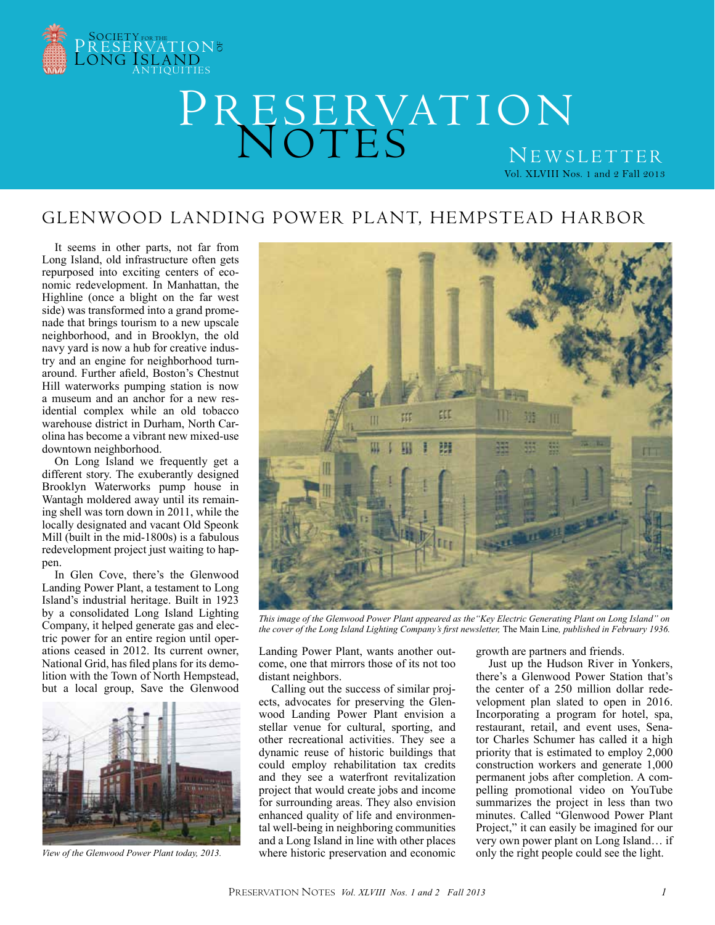

# PRESERVATION NOTES Vol. XLVIII Nos. 1 and 2 Fall 2013 NEWSLETTER

### Glenwood Landing Power Plant, Hempstead Harbor

It seems in other parts, not far from Long Island, old infrastructure often gets repurposed into exciting centers of economic redevelopment. In Manhattan, the Highline (once a blight on the far west side) was transformed into a grand promenade that brings tourism to a new upscale neighborhood, and in Brooklyn, the old navy yard is now a hub for creative industry and an engine for neighborhood turnaround. Further afield, Boston's Chestnut Hill waterworks pumping station is now a museum and an anchor for a new residential complex while an old tobacco warehouse district in Durham, North Carolina has become a vibrant new mixed-use downtown neighborhood.

On Long Island we frequently get a different story. The exuberantly designed Brooklyn Waterworks pump house in Wantagh moldered away until its remaining shell was torn down in 2011, while the locally designated and vacant Old Speonk Mill (built in the mid-1800s) is a fabulous redevelopment project just waiting to happen.

In Glen Cove, there's the Glenwood Landing Power Plant, a testament to Long Island's industrial heritage. Built in 1923 by a consolidated Long Island Lighting Company, it helped generate gas and electric power for an entire region until operations ceased in 2012. Its current owner, National Grid, has filed plans for its demolition with the Town of North Hempstead, but a local group, Save the Glenwood



*View of the Glenwood Power Plant today, 2013.*



*This image of the Glenwood Power Plant appeared as the"Key Electric Generating Plant on Long Island" on the cover of the Long Island Lighting Company's first newsletter,* The Main Line*, published in February 1936.* 

Landing Power Plant, wants another outcome, one that mirrors those of its not too distant neighbors.

Calling out the success of similar projects, advocates for preserving the Glenwood Landing Power Plant envision a stellar venue for cultural, sporting, and other recreational activities. They see a dynamic reuse of historic buildings that could employ rehabilitation tax credits and they see a waterfront revitalization project that would create jobs and income for surrounding areas. They also envision enhanced quality of life and environmental well-being in neighboring communities and a Long Island in line with other places where historic preservation and economic

growth are partners and friends.

Just up the Hudson River in Yonkers, there's a Glenwood Power Station that's the center of a 250 million dollar redevelopment plan slated to open in 2016. Incorporating a program for hotel, spa, restaurant, retail, and event uses, Senator Charles Schumer has called it a high priority that is estimated to employ 2,000 construction workers and generate 1,000 permanent jobs after completion. A compelling promotional video on YouTube summarizes the project in less than two minutes. Called "Glenwood Power Plant Project," it can easily be imagined for our very own power plant on Long Island… if only the right people could see the light.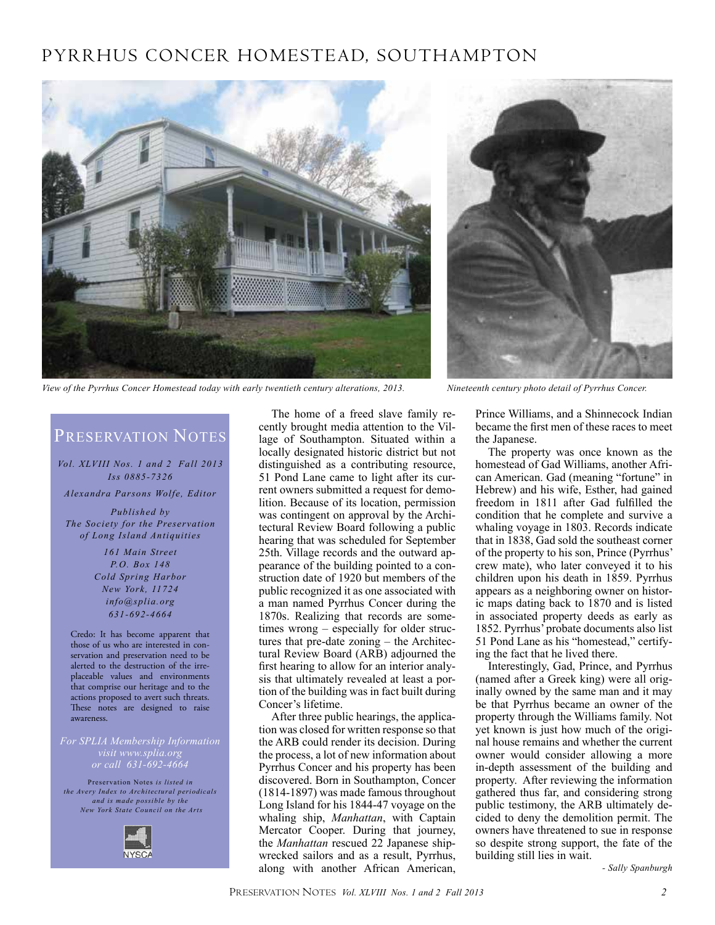### PYRRHUS Concer Homestead, Southampton



*View of the Pyrrhus Concer Homestead today with early twentieth century alterations, 2013. Nineteenth century photo detail of Pyrrhus Concer.*



### PRESERVATION NOTES

*Vol. XLVIII Nos. 1 and 2 Fall 2013 Iss 0885-7326*

*Alexandra Parsons Wolfe, Editor*

*Published by The Society for the Preservation of Long Island Antiquities*

> *161 Main Street P.O. Box 148 Cold Spring Harbor New York, 11724 info@splia.org 631-692-4664*

Credo: It has become apparent that those of us who are interested in conservation and preservation need to be alerted to the destruction of the irreplaceable values and environments that comprise our heritage and to the actions proposed to avert such threats. These notes are designed to raise awareness.

*or call 631-692-4664*

Preservation Notes *is listed in the Avery Index to Architectural periodicals and is made possible by the New York State Council on the Arts*



The home of a freed slave family recently brought media attention to the Village of Southampton. Situated within a locally designated historic district but not distinguished as a contributing resource, 51 Pond Lane came to light after its current owners submitted a request for demolition. Because of its location, permission was contingent on approval by the Architectural Review Board following a public hearing that was scheduled for September 25th. Village records and the outward appearance of the building pointed to a construction date of 1920 but members of the public recognized it as one associated with a man named Pyrrhus Concer during the 1870s. Realizing that records are sometimes wrong – especially for older structures that pre-date zoning – the Architectural Review Board (ARB) adjourned the first hearing to allow for an interior analysis that ultimately revealed at least a portion of the building was in fact built during Concer's lifetime.

After three public hearings, the application was closed for written response so that the ARB could render its decision. During the process, a lot of new information about Pyrrhus Concer and his property has been discovered. Born in Southampton, Concer (1814-1897) was made famous throughout Long Island for his 1844-47 voyage on the whaling ship, *Manhattan*, with Captain Mercator Cooper. During that journey, the *Manhattan* rescued 22 Japanese shipwrecked sailors and as a result, Pyrrhus, along with another African American, Prince Williams, and a Shinnecock Indian became the first men of these races to meet the Japanese.

The property was once known as the homestead of Gad Williams, another African American. Gad (meaning "fortune" in Hebrew) and his wife, Esther, had gained freedom in 1811 after Gad fulfilled the condition that he complete and survive a whaling voyage in 1803. Records indicate that in 1838, Gad sold the southeast corner of the property to his son, Prince (Pyrrhus' crew mate), who later conveyed it to his children upon his death in 1859. Pyrrhus appears as a neighboring owner on historic maps dating back to 1870 and is listed in associated property deeds as early as 1852. Pyrrhus' probate documents also list 51 Pond Lane as his "homestead," certifying the fact that he lived there.

Interestingly, Gad, Prince, and Pyrrhus (named after a Greek king) were all originally owned by the same man and it may be that Pyrrhus became an owner of the property through the Williams family. Not yet known is just how much of the original house remains and whether the current owner would consider allowing a more in-depth assessment of the building and property. After reviewing the information gathered thus far, and considering strong public testimony, the ARB ultimately decided to deny the demolition permit. The owners have threatened to sue in response so despite strong support, the fate of the building still lies in wait.

*- Sally Spanburgh*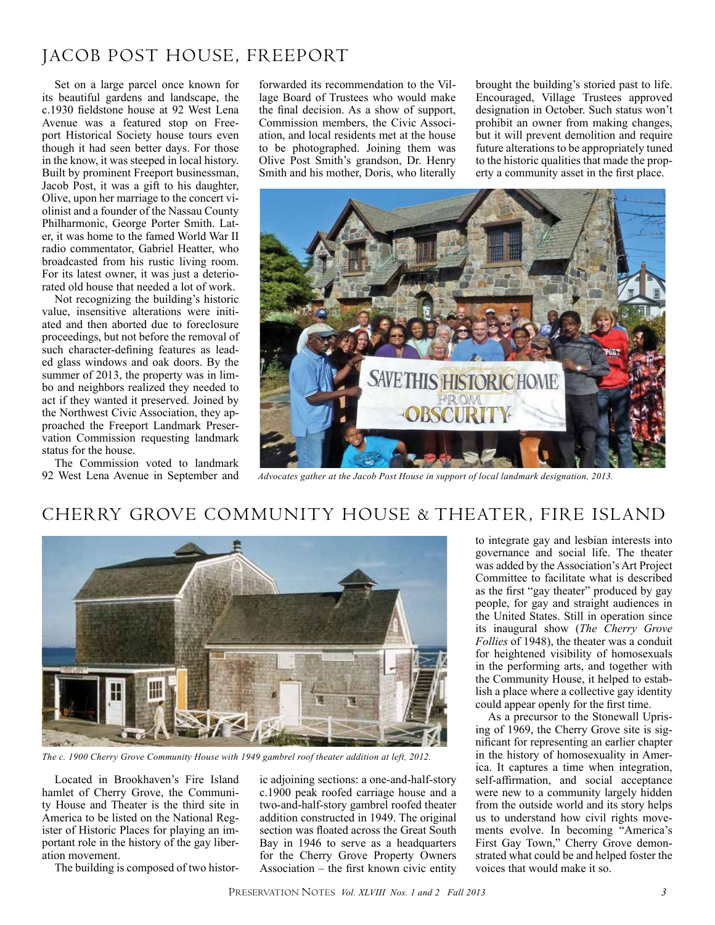### Jacob Post House, Freeport

Set on a large parcel once known for its beautiful gardens and landscape, the c.1930 fieldstone house at 92 West Lena Avenue was a featured stop on Freeport Historical Society house tours even though it had seen better days. For those in the know, it was steeped in local history. Built by prominent Freeport businessman, Jacob Post, it was a gift to his daughter, Olive, upon her marriage to the concert violinist and a founder of the Nassau County Philharmonic, George Porter Smith. Later, it was home to the famed World War II radio commentator, Gabriel Heatter, who broadcasted from his rustic living room. For its latest owner, it was just a deteriorated old house that needed a lot of work.

Not recognizing the building's historic value, insensitive alterations were initiated and then aborted due to foreclosure proceedings, but not before the removal of such character-defining features as leaded glass windows and oak doors. By the summer of 2013, the property was in limbo and neighbors realized they needed to act if they wanted it preserved. Joined by the Northwest Civic Association, they approached the Freeport Landmark Preservation Commission requesting landmark status for the house.

The Commission voted to landmark 92 West Lena Avenue in September and

forwarded its recommendation to the Village Board of Trustees who would make the final decision. As a show of support, Commission members, the Civic Association, and local residents met at the house to be photographed. Joining them was Olive Post Smith's grandson, Dr. Henry Smith and his mother, Doris, who literally brought the building's storied past to life. Encouraged, Village Trustees approved designation in October. Such status won't prohibit an owner from making changes, but it will prevent demolition and require future alterations to be appropriately tuned to the historic qualities that made the property a community asset in the first place.



*Advocates gather at the Jacob Post House in support of local landmark designation, 2013.*

### Cherry Grove Community House & Theater, Fire Island



*The c. 1900 Cherry Grove Community House with 1949 gambrel roof theater addition at left, 2012.*

Located in Brookhaven's Fire Island hamlet of Cherry Grove, the Community House and Theater is the third site in America to be listed on the National Register of Historic Places for playing an important role in the history of the gay liberation movement.

The building is composed of two histor-

ic adjoining sections: a one-and-half-story c.1900 peak roofed carriage house and a two-and-half-story gambrel roofed theater addition constructed in 1949. The original section was floated across the Great South Bay in 1946 to serve as a headquarters for the Cherry Grove Property Owners Association – the first known civic entity

to integrate gay and lesbian interests into governance and social life. The theater was added by the Association's Art Project Committee to facilitate what is described as the first "gay theater" produced by gay people, for gay and straight audiences in the United States. Still in operation since its inaugural show (*The Cherry Grove Follies* of 1948), the theater was a conduit for heightened visibility of homosexuals in the performing arts, and together with the Community House, it helped to establish a place where a collective gay identity could appear openly for the first time.

As a precursor to the Stonewall Uprising of 1969, the Cherry Grove site is significant for representing an earlier chapter in the history of homosexuality in America. It captures a time when integration, self-affirmation, and social acceptance were new to a community largely hidden from the outside world and its story helps us to understand how civil rights movements evolve. In becoming "America's First Gay Town," Cherry Grove demonstrated what could be and helped foster the voices that would make it so.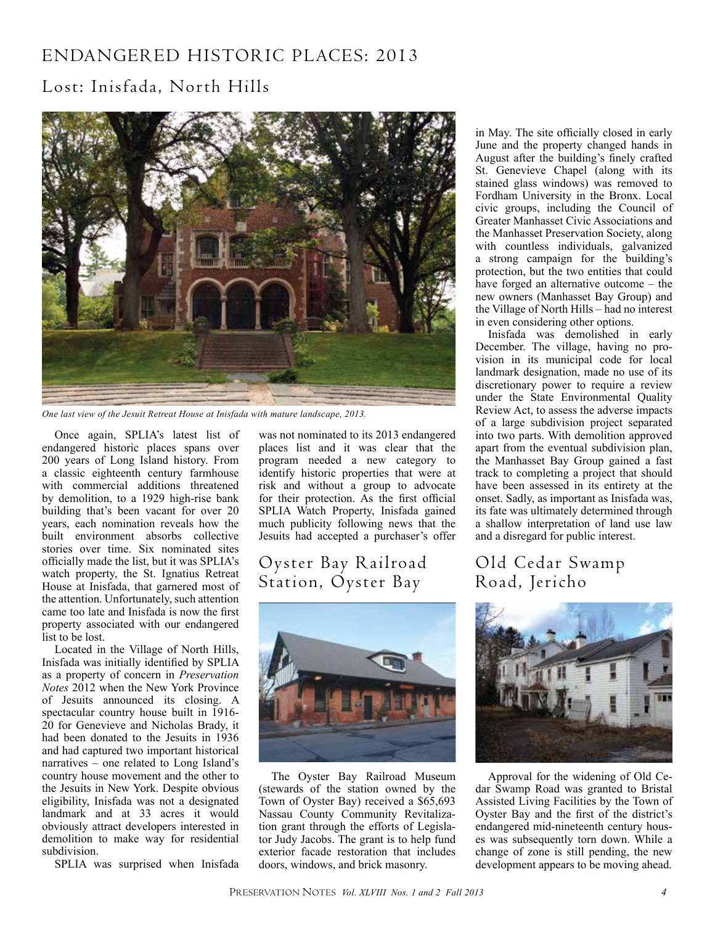## Endangered Historic Places: 2013

### Lost: Inisfada, North Hills



*One last view of the Jesuit Retreat House at Inisfada with mature landscape, 2013.*

Once again, SPLIA's latest list of endangered historic places spans over 200 years of Long Island history. From a classic eighteenth century farmhouse with commercial additions threatened by demolition, to a 1929 high-rise bank building that's been vacant for over 20 years, each nomination reveals how the built environment absorbs collective stories over time. Six nominated sites officially made the list, but it was SPLIA's watch property, the St. Ignatius Retreat House at Inisfada, that garnered most of the attention. Unfortunately, such attention came too late and Inisfada is now the first property associated with our endangered list to be lost.

Located in the Village of North Hills, Inisfada was initially identified by SPLIA as a property of concern in *Preservation Notes* 2012 when the New York Province of Jesuits announced its closing. A spectacular country house built in 1916- 20 for Genevieve and Nicholas Brady, it had been donated to the Jesuits in 1936 and had captured two important historical narratives – one related to Long Island's country house movement and the other to the Jesuits in New York. Despite obvious eligibility, Inisfada was not a designated landmark and at 33 acres it would obviously attract developers interested in demolition to make way for residential subdivision.

SPLIA was surprised when Inisfada

was not nominated to its 2013 endangered places list and it was clear that the program needed a new category to identify historic properties that were at risk and without a group to advocate for their protection. As the first official SPLIA Watch Property, Inisfada gained much publicity following news that the Jesuits had accepted a purchaser's offer

### Oyster Bay Railroad Station, Oyster Bay



The Oyster Bay Railroad Museum (stewards of the station owned by the Town of Oyster Bay) received a \$65,693 Nassau County Community Revitalization grant through the efforts of Legislator Judy Jacobs. The grant is to help fund exterior facade restoration that includes doors, windows, and brick masonry.

in May. The site officially closed in early June and the property changed hands in August after the building's finely crafted St. Genevieve Chapel (along with its stained glass windows) was removed to Fordham University in the Bronx. Local civic groups, including the Council of Greater Manhasset Civic Associations and the Manhasset Preservation Society, along with countless individuals, galvanized a strong campaign for the building's protection, but the two entities that could have forged an alternative outcome – the new owners (Manhasset Bay Group) and the Village of North Hills – had no interest in even considering other options.

Inisfada was demolished in early December. The village, having no provision in its municipal code for local landmark designation, made no use of its discretionary power to require a review under the State Environmental Quality Review Act, to assess the adverse impacts of a large subdivision project separated into two parts. With demolition approved apart from the eventual subdivision plan, the Manhasset Bay Group gained a fast track to completing a project that should have been assessed in its entirety at the onset. Sadly, as important as Inisfada was, its fate was ultimately determined through a shallow interpretation of land use law and a disregard for public interest.

### Old Cedar Swamp Road, Jericho



Approval for the widening of Old Cedar Swamp Road was granted to Bristal Assisted Living Facilities by the Town of Oyster Bay and the first of the district's endangered mid-nineteenth century houses was subsequently torn down. While a change of zone is still pending, the new development appears to be moving ahead.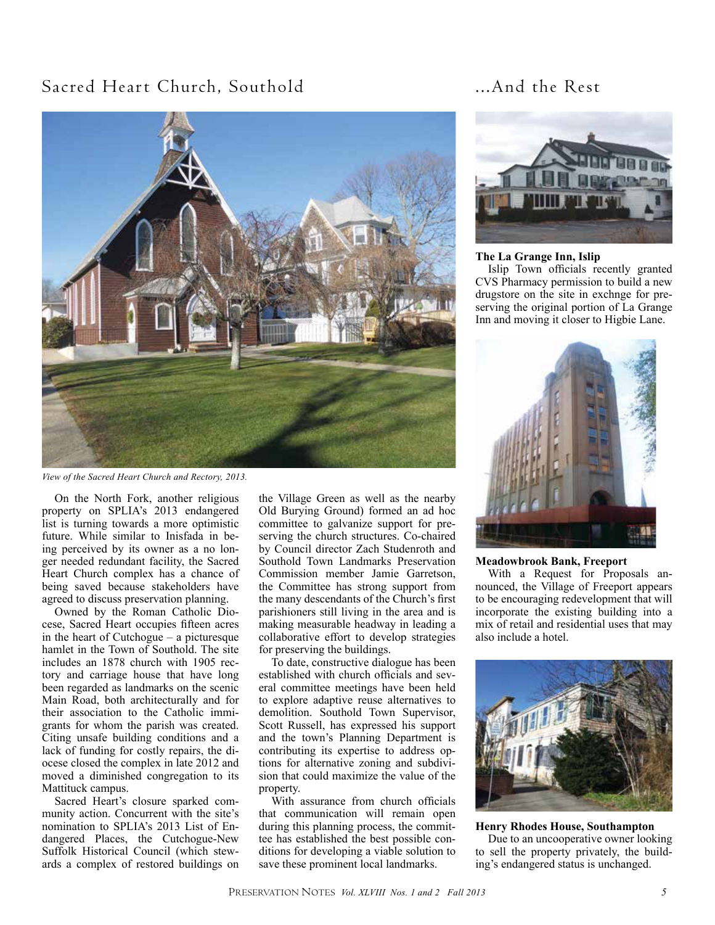### Sacred Heart Church, Southold ...And the Rest



*View of the Sacred Heart Church and Rectory, 2013.*

On the North Fork, another religious property on SPLIA's 2013 endangered list is turning towards a more optimistic future. While similar to Inisfada in being perceived by its owner as a no longer needed redundant facility, the Sacred Heart Church complex has a chance of being saved because stakeholders have agreed to discuss preservation planning.

Owned by the Roman Catholic Diocese, Sacred Heart occupies fifteen acres in the heart of Cutchogue – a picturesque hamlet in the Town of Southold. The site includes an 1878 church with 1905 rectory and carriage house that have long been regarded as landmarks on the scenic Main Road, both architecturally and for their association to the Catholic immigrants for whom the parish was created. Citing unsafe building conditions and a lack of funding for costly repairs, the diocese closed the complex in late 2012 and moved a diminished congregation to its Mattituck campus.

Sacred Heart's closure sparked community action. Concurrent with the site's nomination to SPLIA's 2013 List of Endangered Places, the Cutchogue-New Suffolk Historical Council (which stewards a complex of restored buildings on

the Village Green as well as the nearby Old Burying Ground) formed an ad hoc committee to galvanize support for preserving the church structures. Co-chaired by Council director Zach Studenroth and Southold Town Landmarks Preservation Commission member Jamie Garretson, the Committee has strong support from the many descendants of the Church's first parishioners still living in the area and is making measurable headway in leading a collaborative effort to develop strategies for preserving the buildings.

To date, constructive dialogue has been established with church officials and several committee meetings have been held to explore adaptive reuse alternatives to demolition. Southold Town Supervisor, Scott Russell, has expressed his support and the town's Planning Department is contributing its expertise to address options for alternative zoning and subdivision that could maximize the value of the property.

With assurance from church officials that communication will remain open during this planning process, the committee has established the best possible conditions for developing a viable solution to save these prominent local landmarks.



### **The La Grange Inn, Islip**

Islip Town officials recently granted CVS Pharmacy permission to build a new drugstore on the site in exchnge for preserving the original portion of La Grange Inn and moving it closer to Higbie Lane.



### **Meadowbrook Bank, Freeport**

With a Request for Proposals announced, the Village of Freeport appears to be encouraging redevelopment that will incorporate the existing building into a mix of retail and residential uses that may also include a hotel.



**Henry Rhodes House, Southampton**

Due to an uncooperative owner looking to sell the property privately, the building's endangered status is unchanged.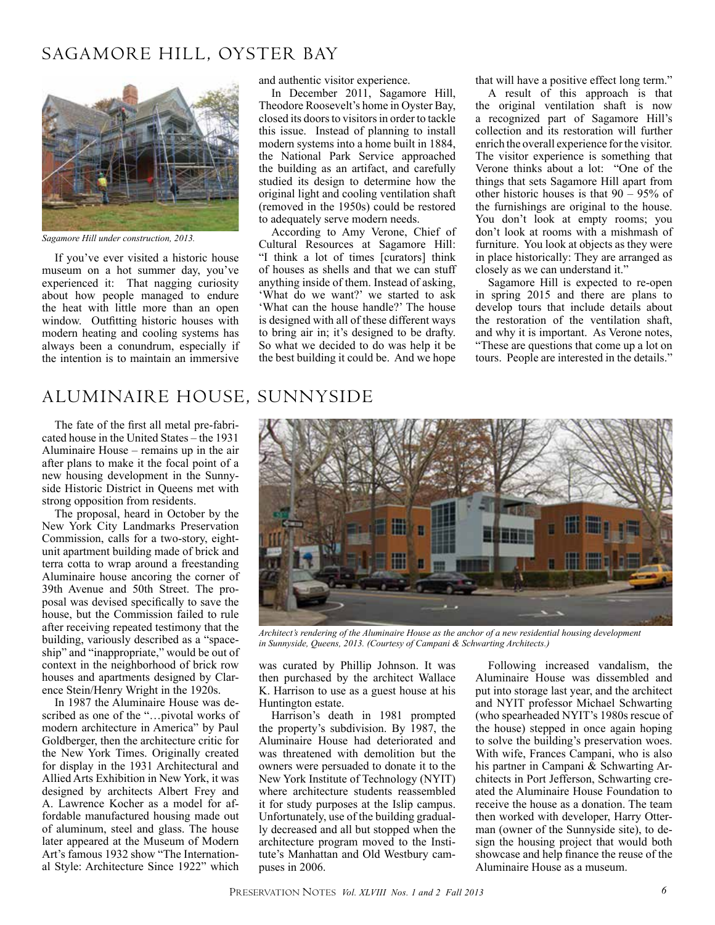### SAGAMORE HILL, OYSTER BAY



*Sagamore Hill under construction, 2013.*

If you've ever visited a historic house museum on a hot summer day, you've experienced it: That nagging curiosity about how people managed to endure the heat with little more than an open window. Outfitting historic houses with modern heating and cooling systems has always been a conundrum, especially if the intention is to maintain an immersive

### Aluminaire House, Sunnyside

The fate of the first all metal pre-fabricated house in the United States – the 1931 Aluminaire House – remains up in the air after plans to make it the focal point of a new housing development in the Sunnyside Historic District in Queens met with strong opposition from residents.

The proposal, heard in October by the New York City Landmarks Preservation Commission, calls for a two-story, eightunit apartment building made of brick and terra cotta to wrap around a freestanding Aluminaire house ancoring the corner of 39th Avenue and 50th Street. The proposal was devised specifically to save the house, but the Commission failed to rule after receiving repeated testimony that the building, variously described as a "spaceship" and "inappropriate," would be out of context in the neighborhood of brick row houses and apartments designed by Clarence Stein/Henry Wright in the 1920s.

In 1987 the Aluminaire House was described as one of the "…pivotal works of modern architecture in America" by Paul Goldberger, then the architecture critic for the New York Times. Originally created for display in the 1931 Architectural and Allied Arts Exhibition in New York, it was designed by architects Albert Frey and A. Lawrence Kocher as a model for affordable manufactured housing made out of aluminum, steel and glass. The house later appeared at the Museum of Modern Art's famous 1932 show "The International Style: Architecture Since 1922" which

and authentic visitor experience.

In December 2011, Sagamore Hill, Theodore Roosevelt's home in Oyster Bay, closed its doors to visitors in order to tackle this issue. Instead of planning to install modern systems into a home built in 1884, the National Park Service approached the building as an artifact, and carefully studied its design to determine how the original light and cooling ventilation shaft (removed in the 1950s) could be restored to adequately serve modern needs.

According to Amy Verone, Chief of Cultural Resources at Sagamore Hill: "I think a lot of times [curators] think of houses as shells and that we can stuff anything inside of them. Instead of asking, 'What do we want?' we started to ask 'What can the house handle?' The house is designed with all of these different ways to bring air in; it's designed to be drafty. So what we decided to do was help it be the best building it could be. And we hope

that will have a positive effect long term."

A result of this approach is that the original ventilation shaft is now a recognized part of Sagamore Hill's collection and its restoration will further enrich the overall experience for the visitor. The visitor experience is something that Verone thinks about a lot: "One of the things that sets Sagamore Hill apart from other historic houses is that 90 – 95% of the furnishings are original to the house. You don't look at empty rooms; you don't look at rooms with a mishmash of furniture. You look at objects as they were in place historically: They are arranged as closely as we can understand it."

Sagamore Hill is expected to re-open in spring 2015 and there are plans to develop tours that include details about the restoration of the ventilation shaft, and why it is important. As Verone notes, "These are questions that come up a lot on tours. People are interested in the details."



*Architect's rendering of the Aluminaire House as the anchor of a new residential housing development in Sunnyside, Queens, 2013. (Courtesy of Campani & Schwarting Architects.)*

was curated by Phillip Johnson. It was then purchased by the architect Wallace K. Harrison to use as a guest house at his Huntington estate.

Harrison's death in 1981 prompted the property's subdivision. By 1987, the Aluminaire House had deteriorated and was threatened with demolition but the owners were persuaded to donate it to the New York Institute of Technology (NYIT) where architecture students reassembled it for study purposes at the Islip campus. Unfortunately, use of the building gradually decreased and all but stopped when the architecture program moved to the Institute's Manhattan and Old Westbury campuses in 2006.

Following increased vandalism, the Aluminaire House was dissembled and put into storage last year, and the architect and NYIT professor Michael Schwarting (who spearheaded NYIT's 1980s rescue of the house) stepped in once again hoping to solve the building's preservation woes. With wife, Frances Campani, who is also his partner in Campani & Schwarting Architects in Port Jefferson, Schwarting created the Aluminaire House Foundation to receive the house as a donation. The team then worked with developer, Harry Otterman (owner of the Sunnyside site), to design the housing project that would both showcase and help finance the reuse of the Aluminaire House as a museum.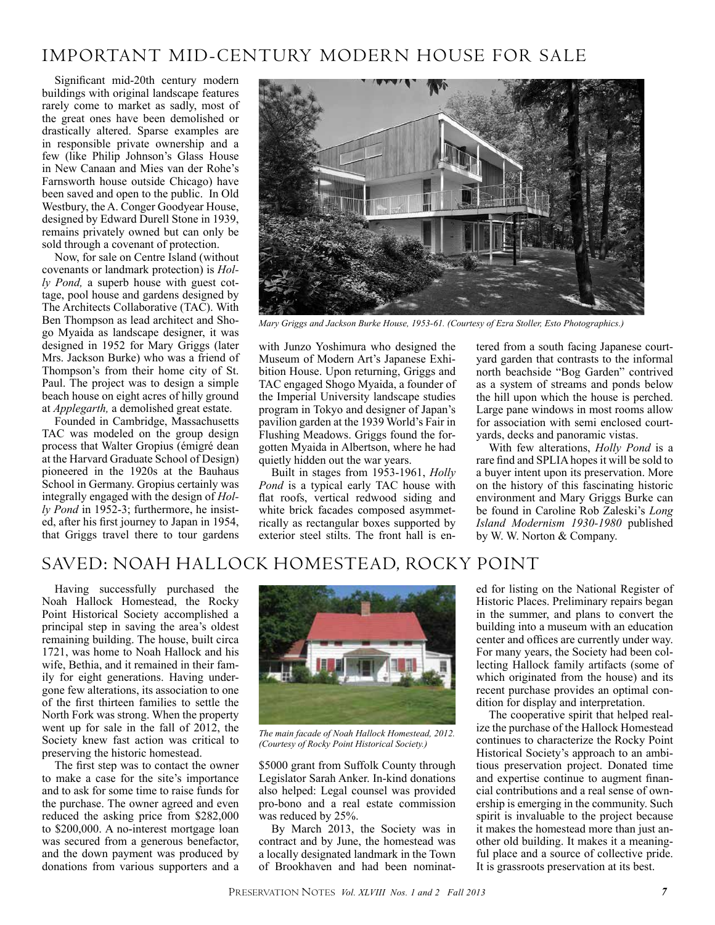### Important Mid-century Modern house for sale

Significant mid-20th century modern buildings with original landscape features rarely come to market as sadly, most of the great ones have been demolished or drastically altered. Sparse examples are in responsible private ownership and a few (like Philip Johnson's Glass House in New Canaan and Mies van der Rohe's Farnsworth house outside Chicago) have been saved and open to the public. In Old Westbury, the A. Conger Goodyear House, designed by Edward Durell Stone in 1939, remains privately owned but can only be sold through a covenant of protection.

Now, for sale on Centre Island (without covenants or landmark protection) is *Holly Pond,* a superb house with guest cottage, pool house and gardens designed by The Architects Collaborative (TAC). With Ben Thompson as lead architect and Shogo Myaida as landscape designer, it was designed in 1952 for Mary Griggs (later Mrs. Jackson Burke) who was a friend of Thompson's from their home city of St. Paul. The project was to design a simple beach house on eight acres of hilly ground at *Applegarth,* a demolished great estate.

Founded in Cambridge, Massachusetts TAC was modeled on the group design process that Walter Gropius (émigré dean at the Harvard Graduate School of Design) pioneered in the 1920s at the Bauhaus School in Germany. Gropius certainly was integrally engaged with the design of *Holly Pond* in 1952-3; furthermore, he insisted, after his first journey to Japan in 1954, that Griggs travel there to tour gardens



*Mary Griggs and Jackson Burke House, 1953-61. (Courtesy of Ezra Stoller, Esto Photographics.)*

with Junzo Yoshimura who designed the Museum of Modern Art's Japanese Exhibition House. Upon returning, Griggs and TAC engaged Shogo Myaida, a founder of the Imperial University landscape studies program in Tokyo and designer of Japan's pavilion garden at the 1939 World's Fair in Flushing Meadows. Griggs found the forgotten Myaida in Albertson, where he had quietly hidden out the war years.

Built in stages from 1953-1961, *Holly Pond* is a typical early TAC house with flat roofs, vertical redwood siding and white brick facades composed asymmetrically as rectangular boxes supported by exterior steel stilts. The front hall is entered from a south facing Japanese courtyard garden that contrasts to the informal north beachside "Bog Garden" contrived as a system of streams and ponds below the hill upon which the house is perched. Large pane windows in most rooms allow for association with semi enclosed courtyards, decks and panoramic vistas.

With few alterations, *Holly Pond* is a rare find and SPLIA hopes it will be sold to a buyer intent upon its preservation. More on the history of this fascinating historic environment and Mary Griggs Burke can be found in Caroline Rob Zaleski's *Long Island Modernism 1930-1980* published by W. W. Norton & Company.

### Saved: Noah Hallock Homestead, Rocky Point

Having successfully purchased the Noah Hallock Homestead, the Rocky Point Historical Society accomplished a principal step in saving the area's oldest remaining building. The house, built circa 1721, was home to Noah Hallock and his wife, Bethia, and it remained in their family for eight generations. Having undergone few alterations, its association to one of the first thirteen families to settle the North Fork was strong. When the property went up for sale in the fall of 2012, the Society knew fast action was critical to preserving the historic homestead.

The first step was to contact the owner to make a case for the site's importance and to ask for some time to raise funds for the purchase. The owner agreed and even reduced the asking price from \$282,000 to \$200,000. A no-interest mortgage loan was secured from a generous benefactor, and the down payment was produced by donations from various supporters and a



*The main facade of Noah Hallock Homestead, 2012. (Courtesy of Rocky Point Historical Society.)*

\$5000 grant from Suffolk County through Legislator Sarah Anker. In-kind donations also helped: Legal counsel was provided pro-bono and a real estate commission was reduced by 25%.

By March 2013, the Society was in contract and by June, the homestead was a locally designated landmark in the Town of Brookhaven and had been nominated for listing on the National Register of Historic Places. Preliminary repairs began in the summer, and plans to convert the building into a museum with an education center and offices are currently under way. For many years, the Society had been collecting Hallock family artifacts (some of which originated from the house) and its recent purchase provides an optimal condition for display and interpretation.

The cooperative spirit that helped realize the purchase of the Hallock Homestead continues to characterize the Rocky Point Historical Society's approach to an ambitious preservation project. Donated time and expertise continue to augment financial contributions and a real sense of ownership is emerging in the community. Such spirit is invaluable to the project because it makes the homestead more than just another old building. It makes it a meaningful place and a source of collective pride. It is grassroots preservation at its best.